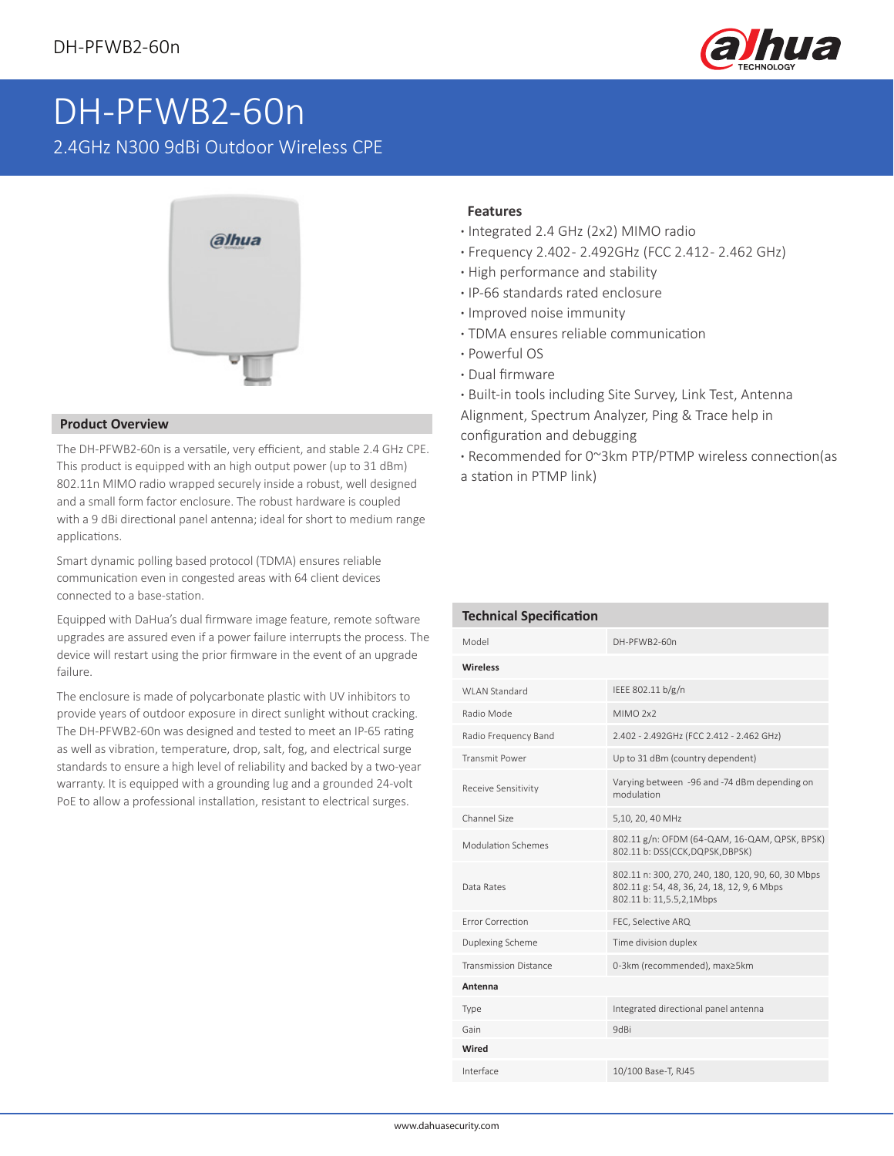

## DH-PFWB2-60n

2.4GHz N300 9dBi Outdoor Wireless CPE



## **Product Overview**

The DH-PFWB2-60n is a versatile, very efficient, and stable 2.4 GHz CPE. This product is equipped with an high output power (up to 31 dBm) 802.11n MIMO radio wrapped securely inside a robust, well designed and a small form factor enclosure. The robust hardware is coupled with a 9 dBi directional panel antenna; ideal for short to medium range applications.

Smart dynamic polling based protocol (TDMA) ensures reliable communication even in congested areas with 64 client devices connected to a base-station.

Equipped with DaHua's dual firmware image feature, remote software upgrades are assured even if a power failure interrupts the process. The device will restart using the prior firmware in the event of an upgrade failure.

The enclosure is made of polycarbonate plastic with UV inhibitors to provide years of outdoor exposure in direct sunlight without cracking. The DH-PFWB2-60n was designed and tested to meet an IP-65 rating as well as vibration, temperature, drop, salt, fog, and electrical surge standards to ensure a high level of reliability and backed by a two-year warranty. It is equipped with a grounding lug and a grounded 24-volt PoE to allow a professional installation, resistant to electrical surges.

## **Features**

- **·** Integrated 2.4 GHz (2x2) MIMO radio
- **·** Frequency 2.402 2.492GHz (FCC 2.412 2.462 GHz)
- **·** High performance and stability
- **·** IP-66 standards rated enclosure
- **·** Improved noise immunity
- **·** TDMA ensures reliable communication
- **·** Powerful OS
- **·** Dual firmware
- **·** Built-in tools including Site Survey, Link Test, Antenna Alignment, Spectrum Analyzer, Ping & Trace help in configuration and debugging
- **·** Recommended for 0~3km PTP/PTMP wireless connection(as a station in PTMP link)

| <b>Technical Specification</b> |                                                                                                                               |  |  |  |  |  |  |
|--------------------------------|-------------------------------------------------------------------------------------------------------------------------------|--|--|--|--|--|--|
| Model                          | DH-PFWB2-60n                                                                                                                  |  |  |  |  |  |  |
| <b>Wireless</b>                |                                                                                                                               |  |  |  |  |  |  |
| WI AN Standard                 | IEEE 802.11 b/g/n                                                                                                             |  |  |  |  |  |  |
| Radio Mode                     | MIMO <sub>2x2</sub>                                                                                                           |  |  |  |  |  |  |
| Radio Frequency Band           | 2.402 - 2.492GHz (FCC 2.412 - 2.462 GHz)                                                                                      |  |  |  |  |  |  |
| <b>Transmit Power</b>          | Up to 31 dBm (country dependent)                                                                                              |  |  |  |  |  |  |
| Receive Sensitivity            | Varying between -96 and -74 dBm depending on<br>modulation                                                                    |  |  |  |  |  |  |
| Channel Size                   | 5,10, 20, 40 MHz                                                                                                              |  |  |  |  |  |  |
| Modulation Schemes             | 802.11 g/n: OFDM (64-QAM, 16-QAM, QPSK, BPSK)<br>802.11 b: DSS(CCK,DQPSK,DBPSK)                                               |  |  |  |  |  |  |
| Data Rates                     | 802.11 n: 300, 270, 240, 180, 120, 90, 60, 30 Mbps<br>802.11 g: 54, 48, 36, 24, 18, 12, 9, 6 Mbps<br>802.11 b: 11,5.5,2,1Mbps |  |  |  |  |  |  |
| Frror Correction               | FEC, Selective ARQ                                                                                                            |  |  |  |  |  |  |
| Duplexing Scheme               | Time division duplex                                                                                                          |  |  |  |  |  |  |
| <b>Transmission Distance</b>   | 0-3km (recommended), max≥5km                                                                                                  |  |  |  |  |  |  |
| Antenna                        |                                                                                                                               |  |  |  |  |  |  |
| Type                           | Integrated directional panel antenna                                                                                          |  |  |  |  |  |  |
| Gain                           | 9dBi                                                                                                                          |  |  |  |  |  |  |
| Wired                          |                                                                                                                               |  |  |  |  |  |  |
| Interface                      | 10/100 Base-T, RJ45                                                                                                           |  |  |  |  |  |  |